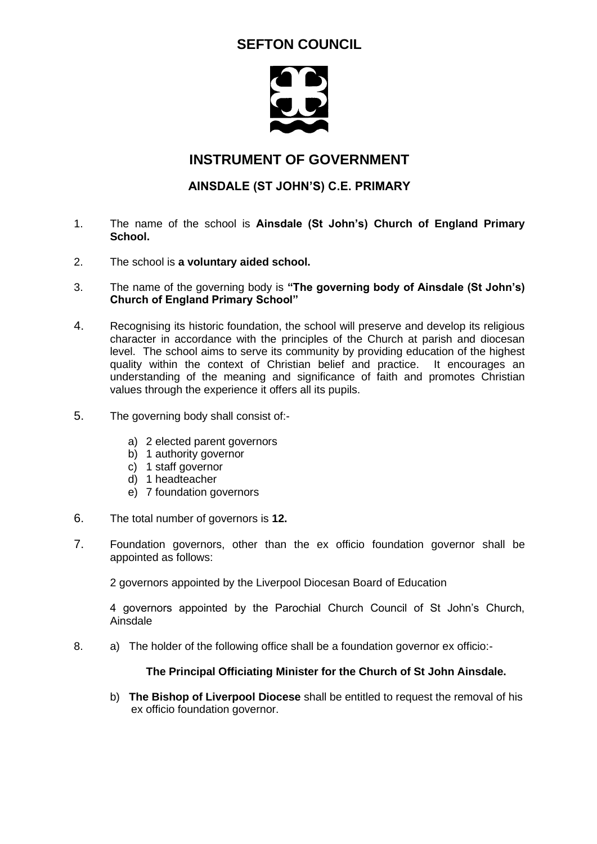# **SEFTON COUNCIL**



### **INSTRUMENT OF GOVERNMENT**

### **AINSDALE (ST JOHN'S) C.E. PRIMARY**

- 1. The name of the school is **Ainsdale (St John's) Church of England Primary School.**
- 2. The school is **a voluntary aided school.**
- 3. The name of the governing body is **"The governing body of Ainsdale (St John's) Church of England Primary School"**
- 4. Recognising its historic foundation, the school will preserve and develop its religious character in accordance with the principles of the Church at parish and diocesan level. The school aims to serve its community by providing education of the highest quality within the context of Christian belief and practice. It encourages an understanding of the meaning and significance of faith and promotes Christian values through the experience it offers all its pupils.
- 5. The governing body shall consist of:
	- a) 2 elected parent governors
	- b) 1 authority governor
	- c) 1 staff governor
	- d) 1 headteacher
	- e) 7 foundation governors
- 6. The total number of governors is **12.**
- 7. Foundation governors, other than the ex officio foundation governor shall be appointed as follows:

2 governors appointed by the Liverpool Diocesan Board of Education

4 governors appointed by the Parochial Church Council of St John's Church, **Ainsdale** 

8. a) The holder of the following office shall be a foundation governor ex officio:-

#### **The Principal Officiating Minister for the Church of St John Ainsdale.**

b) **The Bishop of Liverpool Diocese** shall be entitled to request the removal of his ex officio foundation governor.